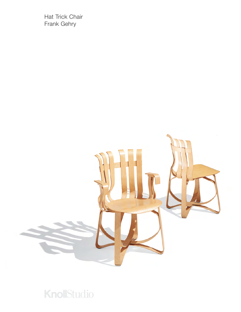Hat Trick Chair Frank Gehry



## **KnollStudio**